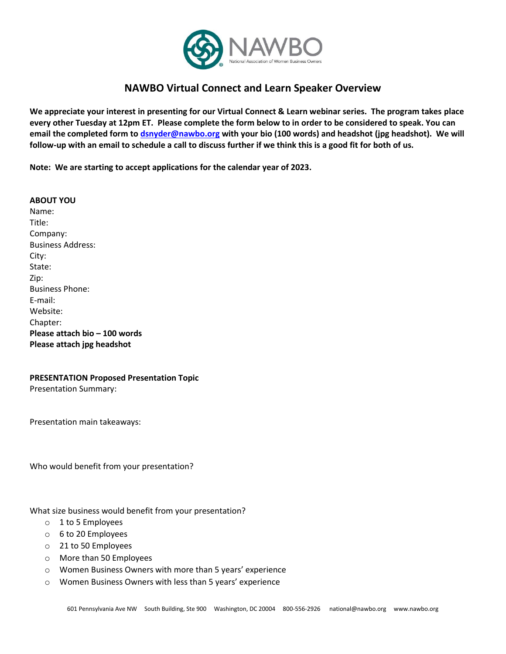

## **NAWBO Virtual Connect and Learn Speaker Overview**

**We appreciate your interest in presenting for our Virtual Connect & Learn webinar series. The program takes place every other Tuesday at 12pm ET. Please complete the form below to in order to be considered to speak. You can email the completed form to [dsnyder@nawbo.org](mailto:dsnyder@nawbo.org) with your bio (100 words) and headshot (jpg headshot). We will follow-up with an email to schedule a call to discuss further if we think this is a good fit for both of us.**

**Note: We are starting to accept applications for the calendar year of 2023.**

## **ABOUT YOU**

Name: Title: Company: Business Address: City: State: Zip: Business Phone: E‐mail: Website: Chapter: **Please attach bio – 100 words Please attach jpg headshot** 

## **PRESENTATION Proposed Presentation Topic**

Presentation Summary:

Presentation main takeaways:

Who would benefit from your presentation?

What size business would benefit from your presentation?

- o 1 to 5 Employees
- o 6 to 20 Employees
- o 21 to 50 Employees
- o More than 50 Employees
- o Women Business Owners with more than 5 years' experience
- o Women Business Owners with less than 5 years' experience